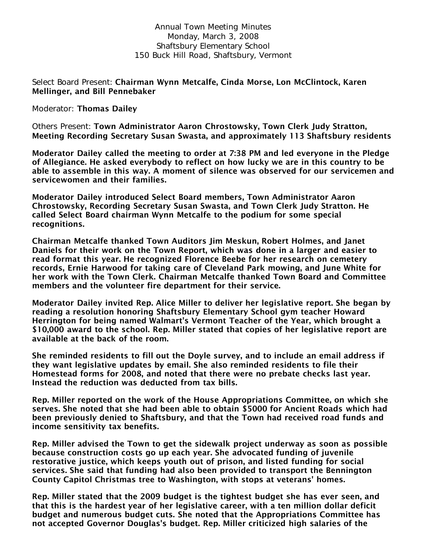Annual Town Meeting Minutes Monday, March 3, 2008 Shaftsbury Elementary School 150 Buck Hill Road, Shaftsbury, Vermont

Select Board Present: Chairman Wynn Metcalfe, Cinda Morse, Lon McClintock, Karen Mellinger, and Bill Pennebaker

Moderator: Thomas Dailey

Others Present: Town Administrator Aaron Chrostowsky, Town Clerk Judy Stratton, Meeting Recording Secretary Susan Swasta, and approximately 113 Shaftsbury residents

Moderator Dailey called the meeting to order at 7:38 PM and led everyone in the Pledge of Allegiance. He asked everybody to reflect on how lucky we are in this country to be able to assemble in this way. A moment of silence was observed for our servicemen and servicewomen and their families.

Moderator Dailey introduced Select Board members, Town Administrator Aaron Chrostowsky, Recording Secretary Susan Swasta, and Town Clerk Judy Stratton. He called Select Board chairman Wynn Metcalfe to the podium for some special recognitions.

Chairman Metcalfe thanked Town Auditors Jim Meskun, Robert Holmes, and Janet Daniels for their work on the Town Report, which was done in a larger and easier to read format this year. He recognized Florence Beebe for her research on cemetery records, Ernie Harwood for taking care of Cleveland Park mowing, and June White for her work with the Town Clerk. Chairman Metcalfe thanked Town Board and Committee members and the volunteer fire department for their service.

Moderator Dailey invited Rep. Alice Miller to deliver her legislative report. She began by reading a resolution honoring Shaftsbury Elementary School gym teacher Howard Herrington for being named Walmart's Vermont Teacher of the Year, which brought a \$10,000 award to the school. Rep. Miller stated that copies of her legislative report are available at the back of the room.

She reminded residents to fill out the Doyle survey, and to include an email address if they want legislative updates by email. She also reminded residents to file their Homestead forms for 2008, and noted that there were no prebate checks last year. Instead the reduction was deducted from tax bills.

Rep. Miller reported on the work of the House Appropriations Committee, on which she serves. She noted that she had been able to obtain \$5000 for Ancient Roads which had been previously denied to Shaftsbury, and that the Town had received road funds and income sensitivity tax benefits.

Rep. Miller advised the Town to get the sidewalk project underway as soon as possible because construction costs go up each year. She advocated funding of juvenile restorative justice, which keeps youth out of prison, and listed funding for social services. She said that funding had also been provided to transport the Bennington County Capitol Christmas tree to Washington, with stops at veterans' homes.

Rep. Miller stated that the 2009 budget is the tightest budget she has ever seen, and that this is the hardest year of her legislative career, with a ten million dollar deficit budget and numerous budget cuts. She noted that the Appropriations Committee has not accepted Governor Douglas's budget. Rep. Miller criticized high salaries of the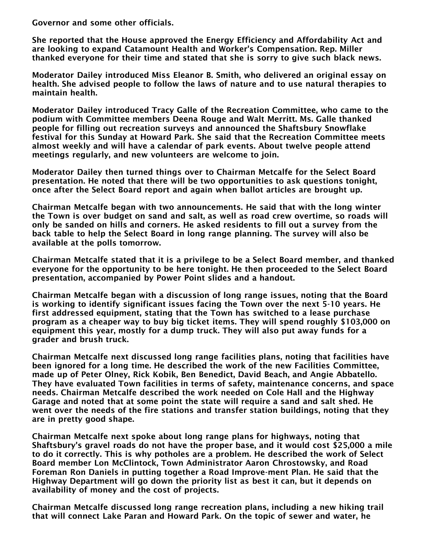Governor and some other officials.

She reported that the House approved the Energy Efficiency and Affordability Act and are looking to expand Catamount Health and Worker's Compensation. Rep. Miller thanked everyone for their time and stated that she is sorry to give such black news.

Moderator Dailey introduced Miss Eleanor B. Smith, who delivered an original essay on health. She advised people to follow the laws of nature and to use natural therapies to maintain health.

Moderator Dailey introduced Tracy Galle of the Recreation Committee, who came to the podium with Committee members Deena Rouge and Walt Merritt. Ms. Galle thanked people for filling out recreation surveys and announced the Shaftsbury Snowflake festival for this Sunday at Howard Park. She said that the Recreation Committee meets almost weekly and will have a calendar of park events. About twelve people attend meetings regularly, and new volunteers are welcome to join.

Moderator Dailey then turned things over to Chairman Metcalfe for the Select Board presentation. He noted that there will be two opportunities to ask questions tonight, once after the Select Board report and again when ballot articles are brought up.

Chairman Metcalfe began with two announcements. He said that with the long winter the Town is over budget on sand and salt, as well as road crew overtime, so roads will only be sanded on hills and corners. He asked residents to fill out a survey from the back table to help the Select Board in long range planning. The survey will also be available at the polls tomorrow.

Chairman Metcalfe stated that it is a privilege to be a Select Board member, and thanked everyone for the opportunity to be here tonight. He then proceeded to the Select Board presentation, accompanied by Power Point slides and a handout.

Chairman Metcalfe began with a discussion of long range issues, noting that the Board is working to identify significant issues facing the Town over the next 5-10 years. He first addressed equipment, stating that the Town has switched to a lease purchase program as a cheaper way to buy big ticket items. They will spend roughly \$103,000 on equipment this year, mostly for a dump truck. They will also put away funds for a grader and brush truck.

Chairman Metcalfe next discussed long range facilities plans, noting that facilities have been ignored for a long time. He described the work of the new Facilities Committee, made up of Peter Olney, Rick Kobik, Ben Benedict, David Beach, and Angie Abbatello. They have evaluated Town facilities in terms of safety, maintenance concerns, and space needs. Chairman Metcalfe described the work needed on Cole Hall and the Highway Garage and noted that at some point the state will require a sand and salt shed. He went over the needs of the fire stations and transfer station buildings, noting that they are in pretty good shape.

Chairman Metcalfe next spoke about long range plans for highways, noting that Shaftsbury's gravel roads do not have the proper base, and it would cost \$25,000 a mile to do it correctly. This is why potholes are a problem. He described the work of Select Board member Lon McClintock, Town Administrator Aaron Chrostowsky, and Road Foreman Ron Daniels in putting together a Road Improve-ment Plan. He said that the Highway Department will go down the priority list as best it can, but it depends on availability of money and the cost of projects.

Chairman Metcalfe discussed long range recreation plans, including a new hiking trail that will connect Lake Paran and Howard Park. On the topic of sewer and water, he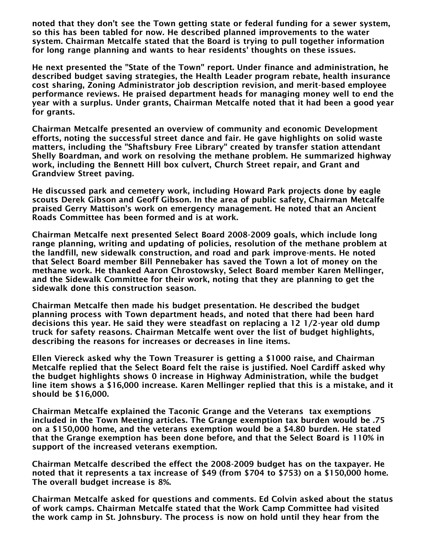noted that they don't see the Town getting state or federal funding for a sewer system, so this has been tabled for now. He described planned improvements to the water system. Chairman Metcalfe stated that the Board is trying to pull together information for long range planning and wants to hear residents' thoughts on these issues.

He next presented the "State of the Town" report. Under finance and administration, he described budget saving strategies, the Health Leader program rebate, health insurance cost sharing, Zoning Administrator job description revision, and merit-based employee performance reviews. He praised department heads for managing money well to end the year with a surplus. Under grants, Chairman Metcalfe noted that it had been a good year for grants.

Chairman Metcalfe presented an overview of community and economic Development efforts, noting the successful street dance and fair. He gave highlights on solid waste matters, including the "Shaftsbury Free Library" created by transfer station attendant Shelly Boardman, and work on resolving the methane problem. He summarized highway work, including the Bennett Hill box culvert, Church Street repair, and Grant and Grandview Street paving.

He discussed park and cemetery work, including Howard Park projects done by eagle scouts Derek Gibson and Geoff Gibson. In the area of public safety, Chairman Metcalfe praised Gerry Mattison's work on emergency management. He noted that an Ancient Roads Committee has been formed and is at work.

Chairman Metcalfe next presented Select Board 2008-2009 goals, which include long range planning, writing and updating of policies, resolution of the methane problem at the landfill, new sidewalk construction, and road and park improve-ments. He noted that Select Board member Bill Pennebaker has saved the Town a lot of money on the methane work. He thanked Aaron Chrostowsky, Select Board member Karen Mellinger, and the Sidewalk Committee for their work, noting that they are planning to get the sidewalk done this construction season.

Chairman Metcalfe then made his budget presentation. He described the budget planning process with Town department heads, and noted that there had been hard decisions this year. He said they were steadfast on replacing a 12 1/2-year old dump truck for safety reasons. Chairman Metcalfe went over the list of budget highlights, describing the reasons for increases or decreases in line items.

Ellen Viereck asked why the Town Treasurer is getting a \$1000 raise, and Chairman Metcalfe replied that the Select Board felt the raise is justified. Noel Cardiff asked why the budget highlights shows 0 increase in Highway Administration, while the budget line item shows a \$16,000 increase. Karen Mellinger replied that this is a mistake, and it should be \$16,000.

Chairman Metcalfe explained the Taconic Grange and the Veterans tax exemptions included in the Town Meeting articles. The Grange exemption tax burden would be .75 on a \$150,000 home, and the veterans exemption would be a \$4.80 burden. He stated that the Grange exemption has been done before, and that the Select Board is 110% in support of the increased veterans exemption.

Chairman Metcalfe described the effect the 2008-2009 budget has on the taxpayer. He noted that it represents a tax increase of \$49 (from \$704 to \$753) on a \$150,000 home. The overall budget increase is 8%.

Chairman Metcalfe asked for questions and comments. Ed Colvin asked about the status of work camps. Chairman Metcalfe stated that the Work Camp Committee had visited the work camp in St. Johnsbury. The process is now on hold until they hear from the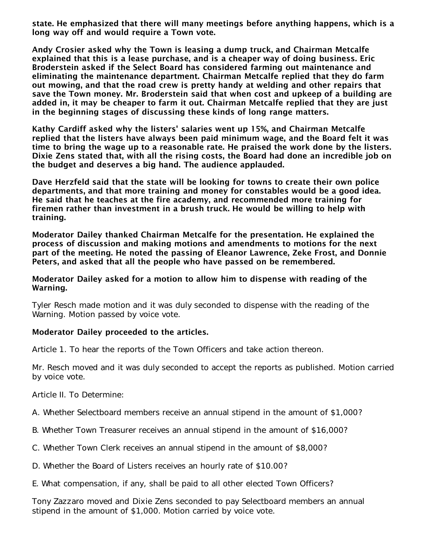state. He emphasized that there will many meetings before anything happens, which is a long way off and would require a Town vote.

Andy Crosier asked why the Town is leasing a dump truck, and Chairman Metcalfe explained that this is a lease purchase, and is a cheaper way of doing business. Eric Broderstein asked if the Select Board has considered farming out maintenance and eliminating the maintenance department. Chairman Metcalfe replied that they do farm out mowing, and that the road crew is pretty handy at welding and other repairs that save the Town money. Mr. Broderstein said that when cost and upkeep of a building are added in, it may be cheaper to farm it out. Chairman Metcalfe replied that they are just in the beginning stages of discussing these kinds of long range matters.

Kathy Cardiff asked why the listers' salaries went up 15%, and Chairman Metcalfe replied that the listers have always been paid minimum wage, and the Board felt it was time to bring the wage up to a reasonable rate. He praised the work done by the listers. Dixie Zens stated that, with all the rising costs, the Board had done an incredible job on the budget and deserves a big hand. The audience applauded.

Dave Herzfeld said that the state will be looking for towns to create their own police departments, and that more training and money for constables would be a good idea. He said that he teaches at the fire academy, and recommended more training for firemen rather than investment in a brush truck. He would be willing to help with training.

Moderator Dailey thanked Chairman Metcalfe for the presentation. He explained the process of discussion and making motions and amendments to motions for the next part of the meeting. He noted the passing of Eleanor Lawrence, Zeke Frost, and Donnie Peters, and asked that all the people who have passed on be remembered.

#### Moderator Dailey asked for a motion to allow him to dispense with reading of the Warning.

Tyler Resch made motion and it was duly seconded to dispense with the reading of the Warning. Motion passed by voice vote.

## Moderator Dailey proceeded to the articles.

Article 1. To hear the reports of the Town Officers and take action thereon.

Mr. Resch moved and it was duly seconded to accept the reports as published. Motion carried by voice vote.

Article II. To Determine:

A. Whether Selectboard members receive an annual stipend in the amount of \$1,000?

- B. Whether Town Treasurer receives an annual stipend in the amount of \$16,000?
- C. Whether Town Clerk receives an annual stipend in the amount of \$8,000?
- D. Whether the Board of Listers receives an hourly rate of \$10.00?
- E. What compensation, if any, shall be paid to all other elected Town Officers?

Tony Zazzaro moved and Dixie Zens seconded to pay Selectboard members an annual stipend in the amount of \$1,000. Motion carried by voice vote.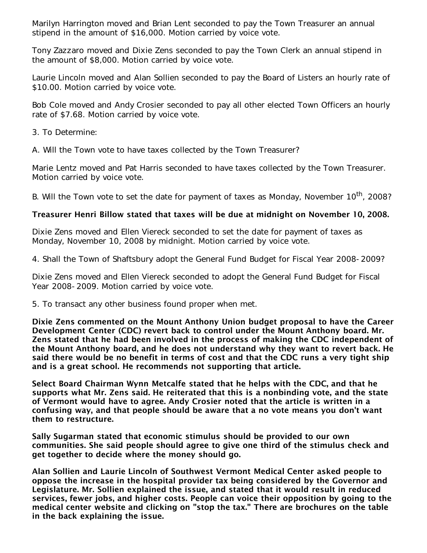Marilyn Harrington moved and Brian Lent seconded to pay the Town Treasurer an annual stipend in the amount of \$16,000. Motion carried by voice vote.

Tony Zazzaro moved and Dixie Zens seconded to pay the Town Clerk an annual stipend in the amount of \$8,000. Motion carried by voice vote.

Laurie Lincoln moved and Alan Sollien seconded to pay the Board of Listers an hourly rate of \$10.00. Motion carried by voice vote.

Bob Cole moved and Andy Crosier seconded to pay all other elected Town Officers an hourly rate of \$7.68. Motion carried by voice vote.

3. To Determine:

A. Will the Town vote to have taxes collected by the Town Treasurer?

Marie Lentz moved and Pat Harris seconded to have taxes collected by the Town Treasurer. Motion carried by voice vote.

B. Will the Town vote to set the date for payment of taxes as Monday, November 10<sup>th</sup>, 2008?

# Treasurer Henri Billow stated that taxes will be due at midnight on November 10, 2008.

Dixie Zens moved and Ellen Viereck seconded to set the date for payment of taxes as Monday, November 10, 2008 by midnight. Motion carried by voice vote.

4. Shall the Town of Shaftsbury adopt the General Fund Budget for Fiscal Year 2008-2009?

Dixie Zens moved and Ellen Viereck seconded to adopt the General Fund Budget for Fiscal Year 2008-2009. Motion carried by voice vote.

5. To transact any other business found proper when met.

Dixie Zens commented on the Mount Anthony Union budget proposal to have the Career Development Center (CDC) revert back to control under the Mount Anthony board. Mr. Zens stated that he had been involved in the process of making the CDC independent of the Mount Anthony board, and he does not understand why they want to revert back. He said there would be no benefit in terms of cost and that the CDC runs a very tight ship and is a great school. He recommends not supporting that article.

Select Board Chairman Wynn Metcalfe stated that he helps with the CDC, and that he supports what Mr. Zens said. He reiterated that this is a nonbinding vote, and the state of Vermont would have to agree. Andy Crosier noted that the article is written in a confusing way, and that people should be aware that a no vote means you don't want them to restructure.

Sally Sugarman stated that economic stimulus should be provided to our own communities. She said people should agree to give one third of the stimulus check and get together to decide where the money should go.

Alan Sollien and Laurie Lincoln of Southwest Vermont Medical Center asked people to oppose the increase in the hospital provider tax being considered by the Governor and Legislature. Mr. Sollien explained the issue, and stated that it would result in reduced services, fewer jobs, and higher costs. People can voice their opposition by going to the medical center website and clicking on "stop the tax." There are brochures on the table in the back explaining the issue.